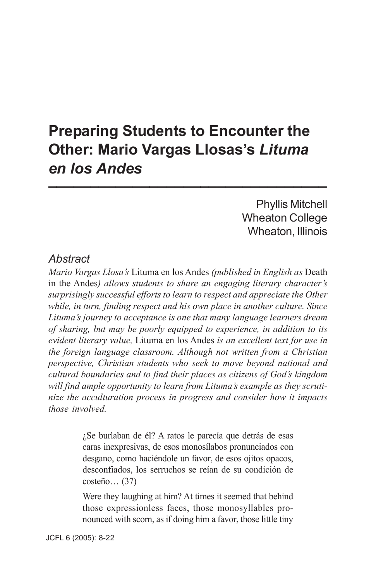# **Preparing Students to Encounter the Other: Mario Vargas Llosas's** *Lituma en los Andes* **\_\_\_\_\_\_\_\_\_\_\_\_\_\_\_\_\_\_\_\_\_\_\_\_\_\_\_\_\_\_\_\_\_**

Phyllis Mitchell Wheaton College Wheaton, Illinois

### *Abstract*

*Mario Vargas Llosa's* Lituma en los Andes *(published in English as* Death in the Andes*) allows students to share an engaging literary character's surprisingly successful efforts to learn to respect and appreciate the Other while, in turn, finding respect and his own place in another culture. Since Lituma's journey to acceptance is one that many language learners dream of sharing, but may be poorly equipped to experience, in addition to its evident literary value,* Lituma en los Andes *is an excellent text for use in the foreign language classroom. Although not written from a Christian perspective, Christian students who seek to move beyond national and cultural boundaries and to find their places as citizens of God's kingdom will find ample opportunity to learn from Lituma's example as they scrutinize the acculturation process in progress and consider how it impacts those involved.*

> ¿Se burlaban de él? A ratos le parecía que detrás de esas caras inexpresivas, de esos monosílabos pronunciados con desgano, como haciéndole un favor, de esos ojitos opacos, desconfiados, los serruchos se reían de su condición de costeño… (37)

> Were they laughing at him? At times it seemed that behind those expressionless faces, those monosyllables pronounced with scorn, as if doing him a favor, those little tiny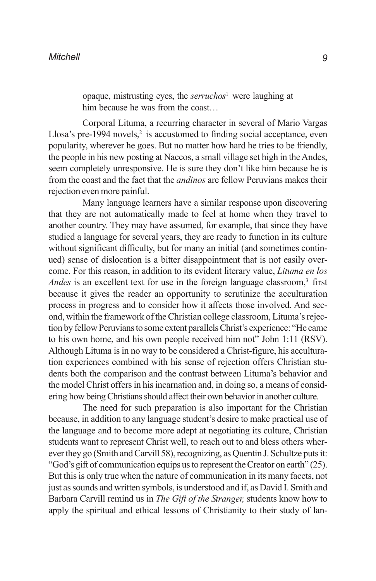opaque, mistrusting eyes, the *serruchos*<sup>1</sup> were laughing at him because he was from the coast…

Corporal Lituma, a recurring character in several of Mario Vargas Llosa's pre-1994 novels, $2$  is accustomed to finding social acceptance, even popularity, wherever he goes. But no matter how hard he tries to be friendly, the people in his new posting at Naccos, a small village set high in the Andes, seem completely unresponsive. He is sure they don't like him because he is from the coast and the fact that the *andinos* are fellow Peruvians makes their rejection even more painful.

Many language learners have a similar response upon discovering that they are not automatically made to feel at home when they travel to another country. They may have assumed, for example, that since they have studied a language for several years, they are ready to function in its culture without significant difficulty, but for many an initial (and sometimes continued) sense of dislocation is a bitter disappointment that is not easily overcome. For this reason, in addition to its evident literary value, *Lituma en los Andes* is an excellent text for use in the foreign language classroom,<sup>3</sup> first because it gives the reader an opportunity to scrutinize the acculturation process in progress and to consider how it affects those involved. And second, within the framework of the Christian college classroom, Lituma's rejection by fellow Peruvians to some extent parallels Christ's experience: "He came to his own home, and his own people received him not" John 1:11 (RSV). Although Lituma is in no way to be considered a Christ-figure, his acculturation experiences combined with his sense of rejection offers Christian students both the comparison and the contrast between Lituma's behavior and the model Christ offers in his incarnation and, in doing so, a means of considering how being Christians should affect their own behavior in another culture.

The need for such preparation is also important for the Christian because, in addition to any language student's desire to make practical use of the language and to become more adept at negotiating its culture, Christian students want to represent Christ well, to reach out to and bless others wherever they go (Smith and Carvill 58), recognizing, as Quentin J. Schultze puts it: "God's gift of communication equips us to represent the Creator on earth" (25). But this is only true when the nature of communication in its many facets, not just as sounds and written symbols, is understood and if, as David I. Smith and Barbara Carvill remind us in *The Gift of the Stranger,* students know how to apply the spiritual and ethical lessons of Christianity to their study of lan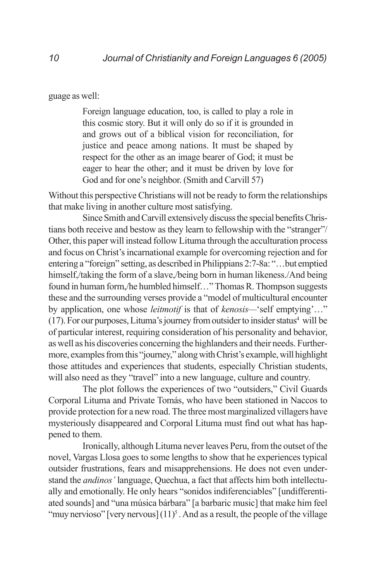guage as well:

Foreign language education, too, is called to play a role in this cosmic story. But it will only do so if it is grounded in and grows out of a biblical vision for reconciliation, for justice and peace among nations. It must be shaped by respect for the other as an image bearer of God; it must be eager to hear the other; and it must be driven by love for God and for one's neighbor. (Smith and Carvill 57)

Without this perspective Christians will not be ready to form the relationships that make living in another culture most satisfying.

Since Smith and Carvill extensively discuss the special benefits Christians both receive and bestow as they learn to fellowship with the "stranger"/ Other, this paper will instead follow Lituma through the acculturation process and focus on Christ's incarnational example for overcoming rejection and for entering a "foreign" setting, as described in Philippians 2:7-8a: "…but emptied himself,/taking the form of a slave,/being born in human likeness./And being found in human form,/he humbled himself…" Thomas R. Thompson suggests these and the surrounding verses provide a "model of multicultural encounter by application, one whose *leitmotif* is that of *kenosis—*'self emptying'…" (17). For our purposes, Lituma's journey from outsider to insider status $4$  will be of particular interest, requiring consideration of his personality and behavior, as well as his discoveries concerning the highlanders and their needs. Furthermore, examples from this "journey," along with Christ's example, will highlight those attitudes and experiences that students, especially Christian students, will also need as they "travel" into a new language, culture and country.

The plot follows the experiences of two "outsiders," Civil Guards Corporal Lituma and Private Tomás, who have been stationed in Naccos to provide protection for a new road. The three most marginalized villagers have mysteriously disappeared and Corporal Lituma must find out what has happened to them.

Ironically, although Lituma never leaves Peru, from the outset of the novel, Vargas Llosa goes to some lengths to show that he experiences typical outsider frustrations, fears and misapprehensions. He does not even understand the *andinos'* language, Quechua, a fact that affects him both intellectually and emotionally. He only hears "sonidos indiferenciables" [undifferentiated sounds] and "una música bárbara" [a barbaric music] that make him feel "muy nervioso" [very nervous]  $(11)^5$ . And as a result, the people of the village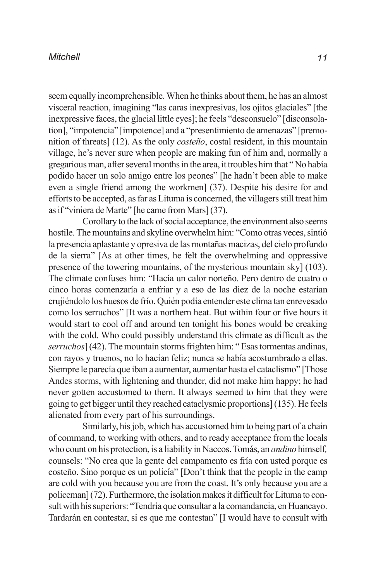seem equally incomprehensible. When he thinks about them, he has an almost visceral reaction, imagining "las caras inexpresivas, los ojitos glaciales" [the inexpressive faces, the glacial little eyes]; he feels "desconsuelo" [disconsolation], "impotencia" [impotence] and a "presentimiento de amenazas" [premonition of threats] (12). As the only *costeño*, costal resident, in this mountain village, he's never sure when people are making fun of him and, normally a gregarious man, after several months in the area, it troubles him that " No había podido hacer un solo amigo entre los peones" [he hadn't been able to make even a single friend among the workmen] (37). Despite his desire for and efforts to be accepted, as far as Lituma is concerned, the villagers still treat him as if "viniera de Marte" [he came from Mars] (37).

Corollary to the lack of social acceptance, the environment also seems hostile. The mountains and skyline overwhelm him: "Como otras veces, sintió la presencia aplastante y opresiva de las montañas macizas, del cielo profundo de la sierra" [As at other times, he felt the overwhelming and oppressive presence of the towering mountains, of the mysterious mountain sky] (103). The climate confuses him: "Hacía un calor norteño. Pero dentro de cuatro o cinco horas comenzaría a enfriar y a eso de las diez de la noche estarían crujiéndolo los huesos de frío. Quién podía entender este clima tan enrevesado como los serruchos" [It was a northern heat. But within four or five hours it would start to cool off and around ten tonight his bones would be creaking with the cold. Who could possibly understand this climate as difficult as the *serruchos*] (42). The mountain storms frighten him: " Esas tormentas andinas, con rayos y truenos, no lo hacían feliz; nunca se había acostumbrado a ellas. Siempre le parecía que iban a aumentar, aumentar hasta el cataclismo" [Those Andes storms, with lightening and thunder, did not make him happy; he had never gotten accustomed to them. It always seemed to him that they were going to get bigger until they reached cataclysmic proportions] (135). He feels alienated from every part of his surroundings.

Similarly, his job, which has accustomed him to being part of a chain of command, to working with others, and to ready acceptance from the locals who count on his protection, is a liability in Naccos. Tomás, an *andino* himself*,* counsels: "No crea que la gente del campamento es fría con usted porque es costeño. Sino porque es un policía" [Don't think that the people in the camp are cold with you because you are from the coast. It's only because you are a policeman] (72). Furthermore, the isolation makes it difficult for Lituma to consult with his superiors: "Tendría que consultar a la comandancia, en Huancayo. Tardarán en contestar, si es que me contestan" [I would have to consult with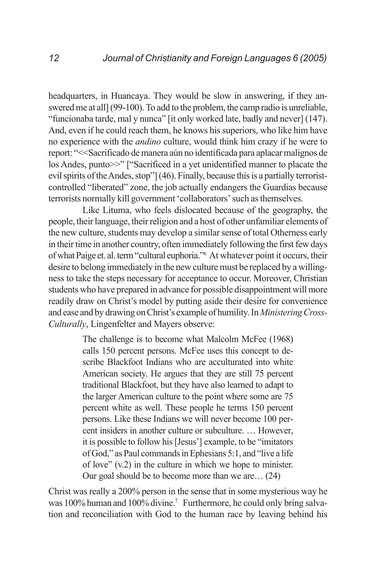headquarters, in Huancaya. They would be slow in answering, if they answered me at all] (99-100). To add to the problem, the camp radio is unreliable, "funcionaba tarde, mal y nunca" [it only worked late, badly and never] (147). And, even if he could reach them, he knows his superiors, who like him have no experience with the *andino* culture, would think him crazy if he were to report: "<<Sacrificado de manera aún no identificada para aplacar malignos de los Andes, punto>>" ["Sacrificed in a yet unidentified manner to placate the evil spirits of the Andes, stop"] (46). Finally, because this is a partially terroristcontrolled "liberated" zone, the job actually endangers the Guardias because terrorists normally kill government 'collaborators' such as themselves.

Like Lituma, who feels dislocated because of the geography, the people, their language, their religion and a host of other unfamiliar elements of the new culture, students may develop a similar sense of total Otherness early in their time in another country, often immediately following the first few days of what Paige et. al. term "cultural euphoria."6 At whatever point it occurs, their desire to belong immediately in the new culture must be replaced by a willingness to take the steps necessary for acceptance to occur. Moreover, Christian students who have prepared in advance for possible disappointment will more readily draw on Christ's model by putting aside their desire for convenience and ease and by drawing on Christ's example of humility. In *Ministering Cross-Culturally*, Lingenfelter and Mayers observe:

> The challenge is to become what Malcolm McFee (1968) calls 150 percent persons. McFee uses this concept to describe Blackfoot Indians who are acculturated into white American society. He argues that they are still 75 percent traditional Blackfoot, but they have also learned to adapt to the larger American culture to the point where some are 75 percent white as well. These people he terms 150 percent persons. Like these Indians we will never become 100 percent insiders in another culture or subculture. … However, it is possible to follow his [Jesus'] example, to be "imitators of God," as Paul commands in Ephesians 5:1, and "live a life of love" (v.2) in the culture in which we hope to minister. Our goal should be to become more than we are… (24)

Christ was really a 200% person in the sense that in some mysterious way he was 100% human and 100% divine.<sup>7</sup> Furthermore, he could only bring salvation and reconciliation with God to the human race by leaving behind his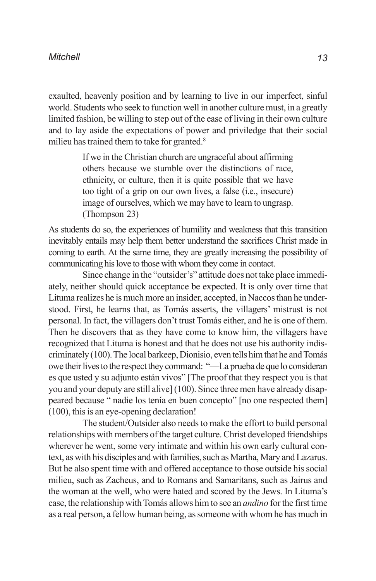exaulted, heavenly position and by learning to live in our imperfect, sinful world. Students who seek to function well in another culture must, in a greatly limited fashion, be willing to step out of the ease of living in their own culture and to lay aside the expectations of power and priviledge that their social milieu has trained them to take for granted.<sup>8</sup>

> If we in the Christian church are ungraceful about affirming others because we stumble over the distinctions of race, ethnicity, or culture, then it is quite possible that we have too tight of a grip on our own lives, a false (i.e., insecure) image of ourselves, which we may have to learn to ungrasp. (Thompson 23)

As students do so, the experiences of humility and weakness that this transition inevitably entails may help them better understand the sacrifices Christ made in coming to earth. At the same time, they are greatly increasing the possibility of communicating his love to those with whom they come in contact.

Since change in the "outsider's" attitude does not take place immediately, neither should quick acceptance be expected. It is only over time that Lituma realizes he is much more an insider, accepted, in Naccos than he understood. First, he learns that, as Tomás asserts, the villagers' mistrust is not personal. In fact, the villagers don't trust Tomás either, and he is one of them. Then he discovers that as they have come to know him, the villagers have recognized that Lituma is honest and that he does not use his authority indiscriminately (100). The local barkeep, Dionisio, even tells him that he and Tomás owe their lives to the respect they command: "—La prueba de que lo consideran es que usted y su adjunto están vivos" [The proof that they respect you is that you and your deputy are still alive] (100). Since three men have already disappeared because " nadie los tenía en buen concepto" [no one respected them] (100), this is an eye-opening declaration!

The student/Outsider also needs to make the effort to build personal relationships with members of the target culture. Christ developed friendships wherever he went, some very intimate and within his own early cultural context, as with his disciples and with families, such as Martha, Mary and Lazarus. But he also spent time with and offered acceptance to those outside his social milieu, such as Zacheus, and to Romans and Samaritans, such as Jairus and the woman at the well, who were hated and scored by the Jews. In Lituma's case, the relationship with Tomás allows him to see an *andino* for the first time as a real person, a fellow human being, as someone with whom he has much in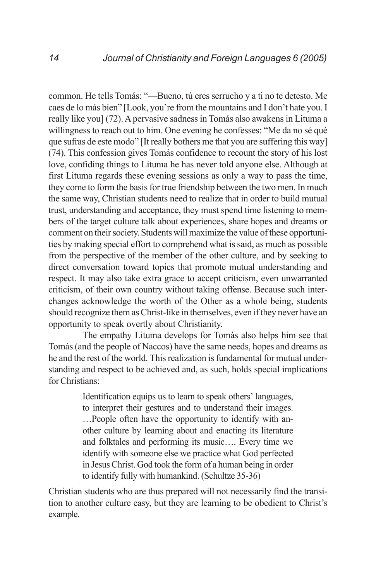common. He tells Tomás: "—Bueno, tú eres serrucho y a ti no te detesto. Me caes de lo más bien" [Look, you're from the mountains and I don't hate you. I really like you] (72). A pervasive sadness in Tomás also awakens in Lituma a willingness to reach out to him. One evening he confesses: "Me da no sé qué que sufras de este modo" [It really bothers me that you are suffering this way] (74). This confession gives Tomás confidence to recount the story of his lost love, confiding things to Lituma he has never told anyone else. Although at first Lituma regards these evening sessions as only a way to pass the time, they come to form the basis for true friendship between the two men. In much the same way, Christian students need to realize that in order to build mutual trust, understanding and acceptance, they must spend time listening to members of the target culture talk about experiences, share hopes and dreams or comment on their society. Students will maximize the value of these opportunities by making special effort to comprehend what is said, as much as possible from the perspective of the member of the other culture, and by seeking to direct conversation toward topics that promote mutual understanding and respect. It may also take extra grace to accept criticism, even unwarranted criticism, of their own country without taking offense. Because such interchanges acknowledge the worth of the Other as a whole being, students should recognize them as Christ-like in themselves, even if they never have an opportunity to speak overtly about Christianity.

The empathy Lituma develops for Tomás also helps him see that Tomás (and the people of Naccos) have the same needs, hopes and dreams as he and the rest of the world. This realization is fundamental for mutual understanding and respect to be achieved and, as such, holds special implications for Christians:

> Identification equips us to learn to speak others' languages, to interpret their gestures and to understand their images. …People often have the opportunity to identify with another culture by learning about and enacting its literature and folktales and performing its music…. Every time we identify with someone else we practice what God perfected in Jesus Christ. God took the form of a human being in order to identify fully with humankind. (Schultze 35-36)

Christian students who are thus prepared will not necessarily find the transition to another culture easy, but they are learning to be obedient to Christ's example.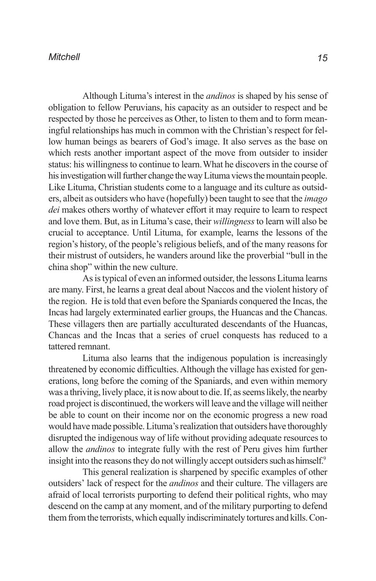Although Lituma's interest in the *andinos* is shaped by his sense of obligation to fellow Peruvians, his capacity as an outsider to respect and be respected by those he perceives as Other, to listen to them and to form meaningful relationships has much in common with the Christian's respect for fellow human beings as bearers of God's image. It also serves as the base on which rests another important aspect of the move from outsider to insider status: his willingness to continue to learn.What he discovers in the course of his investigation will further change the way Lituma views the mountain people. Like Lituma, Christian students come to a language and its culture as outsiders, albeit as outsiders who have (hopefully) been taught to see that the *imago dei* makes others worthy of whatever effort it may require to learn to respect and love them. But, as in Lituma's case, their *willingness* to learn will also be crucial to acceptance. Until Lituma, for example, learns the lessons of the region's history, of the people's religious beliefs, and of the many reasons for their mistrust of outsiders, he wanders around like the proverbial "bull in the china shop" within the new culture.

As is typical of even an informed outsider, the lessons Lituma learns are many. First, he learns a great deal about Naccos and the violent history of the region. He is told that even before the Spaniards conquered the Incas, the Incas had largely exterminated earlier groups, the Huancas and the Chancas. These villagers then are partially acculturated descendants of the Huancas, Chancas and the Incas that a series of cruel conquests has reduced to a tattered remnant.

Lituma also learns that the indigenous population is increasingly threatened by economic difficulties. Although the village has existed for generations, long before the coming of the Spaniards, and even within memory was a thriving, lively place, it is now about to die. If, as seems likely, the nearby road project is discontinued, the workers will leave and the village will neither be able to count on their income nor on the economic progress a new road would have made possible. Lituma's realization that outsiders have thoroughly disrupted the indigenous way of life without providing adequate resources to allow the *andinos* to integrate fully with the rest of Peru gives him further insight into the reasons they do not willingly accept outsiders such as himself.<sup>9</sup>

This general realization is sharpened by specific examples of other outsiders' lack of respect for the *andinos* and their culture. The villagers are afraid of local terrorists purporting to defend their political rights, who may descend on the camp at any moment, and of the military purporting to defend them from the terrorists, which equally indiscriminately tortures and kills. Con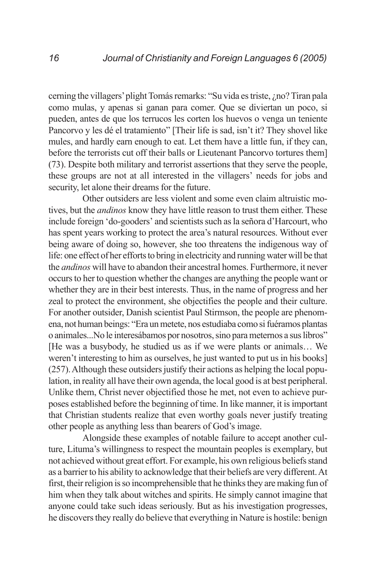cerning the villagers' plight Tomás remarks: "Su vida es triste, ¿no? Tiran pala como mulas, y apenas si ganan para comer. Que se diviertan un poco, si pueden, antes de que los terrucos les corten los huevos o venga un teniente Pancorvo y les dé el tratamiento" [Their life is sad, isn't it? They shovel like mules, and hardly earn enough to eat. Let them have a little fun, if they can, before the terrorists cut off their balls or Lieutenant Pancorvo tortures them] (73). Despite both military and terrorist assertions that they serve the people, these groups are not at all interested in the villagers' needs for jobs and security, let alone their dreams for the future.

Other outsiders are less violent and some even claim altruistic motives, but the *andinos* know they have little reason to trust them either. These include foreign 'do-gooders' and scientists such as la señora d'Harcourt, who has spent years working to protect the area's natural resources. Without ever being aware of doing so, however, she too threatens the indigenous way of life: one effect of her efforts to bring in electricity and running water will be that the *andinos* will have to abandon their ancestral homes. Furthermore, it never occurs to her to question whether the changes are anything the people want or whether they are in their best interests. Thus, in the name of progress and her zeal to protect the environment, she objectifies the people and their culture. For another outsider, Danish scientist Paul Stirmson, the people are phenomena, not human beings: "Era un metete, nos estudiaba como si fuéramos plantas o animales...No le interesábamos por nosotros, sino para meternos a sus libros" [He was a busybody, he studied us as if we were plants or animals… We weren't interesting to him as ourselves, he just wanted to put us in his books] (257). Although these outsiders justify their actions as helping the local population, in reality all have their own agenda, the local good is at best peripheral. Unlike them, Christ never objectified those he met, not even to achieve purposes established before the beginning of time. In like manner, it is important that Christian students realize that even worthy goals never justify treating other people as anything less than bearers of God's image.

Alongside these examples of notable failure to accept another culture, Lituma's willingness to respect the mountain peoples is exemplary, but not achieved without great effort. For example, his own religious beliefs stand as a barrier to his ability to acknowledge that their beliefs are very different. At first, their religion is so incomprehensible that he thinks they are making fun of him when they talk about witches and spirits. He simply cannot imagine that anyone could take such ideas seriously. But as his investigation progresses, he discovers they really do believe that everything in Nature is hostile: benign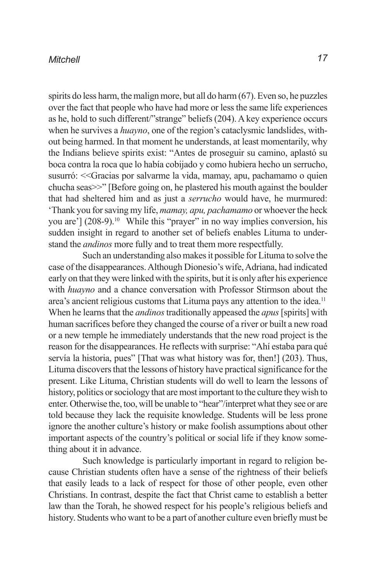spirits do less harm, the malign more, but all do harm (67). Even so, he puzzles over the fact that people who have had more or less the same life experiences as he, hold to such different/"strange" beliefs (204). A key experience occurs when he survives a *huayno*, one of the region's cataclysmic landslides, without being harmed. In that moment he understands, at least momentarily, why the Indians believe spirits exist: "Antes de proseguir su camino, aplastó su boca contra la roca que lo había cobijado y como hubiera hecho un serrucho, susurró: <<Gracias por salvarme la vida, mamay, apu, pachamamo o quien chucha seas>>" [Before going on, he plastered his mouth against the boulder that had sheltered him and as just a *serrucho* would have, he murmured: 'Thank you for saving my life, *mamay, apu, pachamamo* or whoever the heck you are'] (208-9).<sup>10</sup> While this "prayer" in no way implies conversion, his sudden insight in regard to another set of beliefs enables Lituma to understand the *andinos* more fully and to treat them more respectfully.

Such an understanding also makes it possible for Lituma to solve the case of the disappearances. Although Dionesio's wife, Adriana, had indicated early on that they were linked with the spirits, but it is only after his experience with *huayno* and a chance conversation with Professor Stirmson about the area's ancient religious customs that Lituma pays any attention to the idea.<sup>11</sup> When he learns that the *andinos* traditionally appeased the *apus* [spirits] with human sacrifices before they changed the course of a river or built a new road or a new temple he immediately understands that the new road project is the reason for the disappearances. He reflects with surprise: "Ahí estaba para qué servía la historia, pues" [That was what history was for, then!] (203). Thus, Lituma discovers that the lessons of history have practical significance for the present. Like Lituma, Christian students will do well to learn the lessons of history, politics or sociology that are most important to the culture they wish to enter. Otherwise the, too, will be unable to "hear"/interpret what they see or are told because they lack the requisite knowledge. Students will be less prone ignore the another culture's history or make foolish assumptions about other important aspects of the country's political or social life if they know something about it in advance.

Such knowledge is particularly important in regard to religion because Christian students often have a sense of the rightness of their beliefs that easily leads to a lack of respect for those of other people, even other Christians. In contrast, despite the fact that Christ came to establish a better law than the Torah, he showed respect for his people's religious beliefs and history. Students who want to be a part of another culture even briefly must be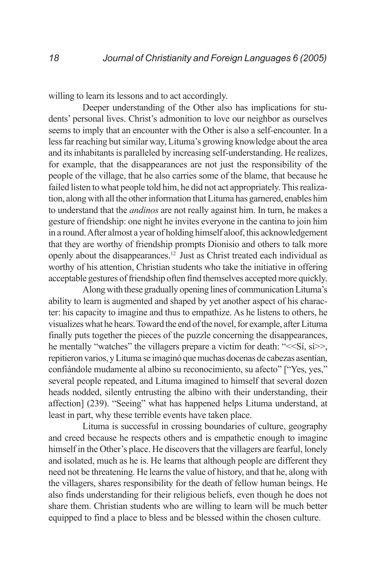willing to learn its lessons and to act accordingly.

Deeper understanding of the Other also has implications for students' personal lives. Christ's admonition to love our neighbor as ourselves seems to imply that an encounter with the Other is also a self-encounter. In a less far reaching but similar way, Lituma's growing knowledge about the area and its inhabitants is paralleled by increasing self-understanding. He realizes, for example, that the disappearances are not just the responsibility of the people of the village, that he also carries some of the blame, that because he failed listen to what people told him, he did not act appropriately. This realization, along with all the other information that Lituma has garnered, enables him to understand that the *andinos* are not really against him. In turn, he makes a gesture of friendship: one night he invites everyone in the cantina to join him in a round. After almost a year of holding himself aloof, this acknowledgement that they are worthy of friendship prompts Dionisio and others to talk more openly about the disappearances.12 Just as Christ treated each individual as worthy of his attention, Christian students who take the initiative in offering acceptable gestures of friendship often find themselves accepted more quickly.

Along with these gradually opening lines of communication Lituma's ability to learn is augmented and shaped by yet another aspect of his character: his capacity to imagine and thus to empathize. As he listens to others, he visualizes what he hears. Toward the end of the novel, for example, after Lituma finally puts together the pieces of the puzzle concerning the disappearances, he mentally "watches" the villagers prepare a victim for death: "<<Si, si>>, repitieron varios, y Lituma se imaginó que muchas docenas de cabezas asentían, confiándole mudamente al albino su reconocimiento, su afecto" ["Yes, yes," several people repeated, and Lituma imagined to himself that several dozen heads nodded, silently entrusting the albino with their understanding, their affection] (239). "Seeing" what has happened helps Lituma understand, at least in part, why these terrible events have taken place.

Lituma is successful in crossing boundaries of culture, geography and creed because he respects others and is empathetic enough to imagine himself in the Other's place. He discovers that the villagers are fearful, lonely and isolated, much as he is. He learns that although people are different they need not be threatening. He learns the value of history, and that he, along with the villagers, shares responsibility for the death of fellow human beings. He also finds understanding for their religious beliefs, even though he does not share them. Christian students who are willing to learn will be much better equipped to find a place to bless and be blessed within the chosen culture.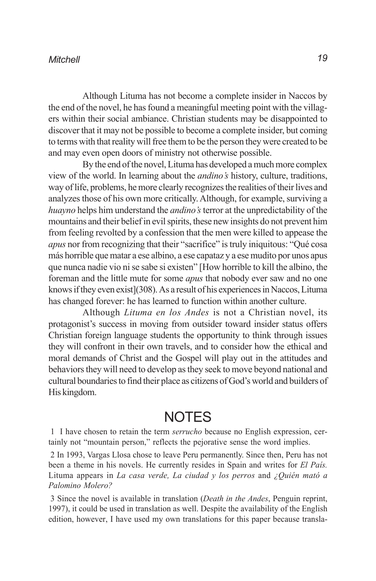Although Lituma has not become a complete insider in Naccos by the end of the novel, he has found a meaningful meeting point with the villagers within their social ambiance. Christian students may be disappointed to discover that it may not be possible to become a complete insider, but coming to terms with that reality will free them to be the person they were created to be and may even open doors of ministry not otherwise possible.

By the end of the novel, Lituma has developed a much more complex view of the world. In learning about the *andino's* history, culture, traditions, way of life, problems, he more clearly recognizes the realities of their lives and analyzes those of his own more critically. Although, for example, surviving a *huayno* helps him understand the *andino's* terror at the unpredictability of the mountains and their belief in evil spirits, these new insights do not prevent him from feeling revolted by a confession that the men were killed to appease the *apus* nor from recognizing that their "sacrifice" is truly iniquitous: "Qué cosa más horrible que matar a ese albino, a ese capataz y a ese mudito por unos apus que nunca nadie vio ni se sabe si existen" [How horrible to kill the albino, the foreman and the little mute for some *apus* that nobody ever saw and no one knows if they even exist](308). As a result of his experiences in Naccos, Lituma has changed forever: he has learned to function within another culture.

Although *Lituma en los Andes* is not a Christian novel, its protagonist's success in moving from outsider toward insider status offers Christian foreign language students the opportunity to think through issues they will confront in their own travels, and to consider how the ethical and moral demands of Christ and the Gospel will play out in the attitudes and behaviors they will need to develop as they seek to move beyond national and cultural boundaries to find their place as citizens of God's world and builders of His kingdom.

### NOTES

1 I have chosen to retain the term *serrucho* because no English expression, certainly not "mountain person," reflects the pejorative sense the word implies.

2 In 1993, Vargas Llosa chose to leave Peru permanently. Since then, Peru has not been a theme in his novels. He currently resides in Spain and writes for *El País.* Lituma appears in *La casa verde, La ciudad y los perros* and *¿Quién mató a Palomino Molero?*

3 Since the novel is available in translation (*Death in the Andes*, Penguin reprint, 1997), it could be used in translation as well. Despite the availability of the English edition, however, I have used my own translations for this paper because transla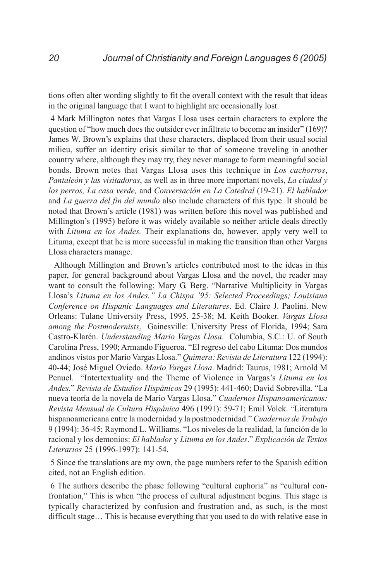tions often alter wording slightly to fit the overall context with the result that ideas in the original language that I want to highlight are occasionally lost.

4 Mark Millington notes that Vargas Llosa uses certain characters to explore the question of "how much does the outsider ever infiltrate to become an insider" (169)? James W. Brown's explains that these characters, displaced from their usual social milieu, suffer an identity crisis similar to that of someone traveling in another country where, although they may try, they never manage to form meaningful social bonds. Brown notes that Vargas Llosa uses this technique in *Los cachorros*, *Pantaleón y las visitadoras*, as well as in three more important novels, *La ciudad y los perros, La casa verde,* and *Conversación en La Catedral* (19-21). *El hablador* and *La guerra del fin del mundo* also include characters of this type. It should be noted that Brown's article (1981) was written before this novel was published and Millington's (1995) before it was widely available so neither article deals directly with *Lituma en los Andes.* Their explanations do, however, apply very well to Lituma, except that he is more successful in making the transition than other Vargas Llosa characters manage.

 Although Millington and Brown's articles contributed most to the ideas in this paper, for general background about Vargas Llosa and the novel, the reader may want to consult the following: Mary G. Berg. "Narrative Multiplicity in Vargas Llosa's *Lituma en los Andes." La Chispa '95: Selected Proceedings; Louisiana Conference on Hispanic Languages and Literatures*. Ed. Claire J. Paolini. New Orleans: Tulane University Press, 1995. 25-38; M. Keith Booker. *Vargas Llosa among the Postmodernists*. Gainesville: University Press of Florida, 1994; Sara Castro-Klarén. *Understanding Mario Vargas Llosa*. Columbia, S.C.: U. of South Carolina Press, 1990; Armando Figueroa. "El regreso del cabo Lituma: Dos mundos andinos vistos por Mario Vargas Llosa." *Quimera: Revista de Literatura* 122 (1994): 40-44; José Miguel Oviedo. *Mario Vargas Llosa*. Madrid: Taurus, 1981; Arnold M Penuel. "Intertextuality and the Theme of Violence in Vargas's *Lituma en los Andes.*" *Revista de Estudios Hispánicos* 29 (1995): 441-460; David Sobrevilla. "La nueva teoría de la novela de Mario Vargas Llosa." *Cuadernos Hispanoamericanos: Revista Mensual de Cultura Hispánica* 496 (1991): 59-71; Emil Volek. "Literatura hispanoamericana entre la modernidad y la postmodernidad." *Cuadernos de Trabajo* 9 (1994): 36-45; Raymond L. Williams. "Los niveles de la realidad, la función de lo racional y los demonios: *El hablador* y *Lituma en los Andes*." *Explicación de Textos Literarios* 25 (1996-1997): 141-54.

5 Since the translations are my own, the page numbers refer to the Spanish edition cited, not an English edition.

6 The authors describe the phase following "cultural euphoria" as "cultural confrontation," This is when "the process of cultural adjustment begins. This stage is typically characterized by confusion and frustration and, as such, is the most difficult stage… This is because everything that you used to do with relative ease in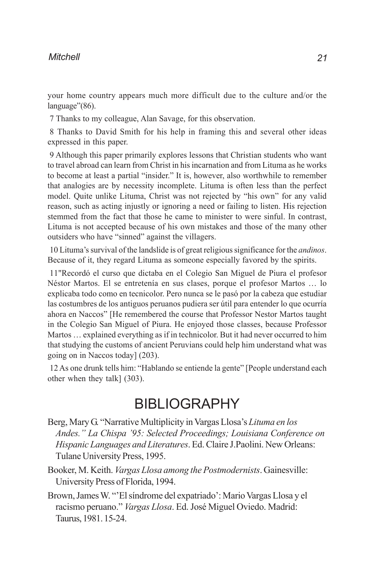your home country appears much more difficult due to the culture and/or the language"(86).

7 Thanks to my colleague, Alan Savage, for this observation.

8 Thanks to David Smith for his help in framing this and several other ideas expressed in this paper.

9 Although this paper primarily explores lessons that Christian students who want to travel abroad can learn from Christ in his incarnation and from Lituma as he works to become at least a partial "insider." It is, however, also worthwhile to remember that analogies are by necessity incomplete. Lituma is often less than the perfect model. Quite unlike Lituma, Christ was not rejected by "his own" for any valid reason, such as acting injustly or ignoring a need or failing to listen. His rejection stemmed from the fact that those he came to minister to were sinful. In contrast, Lituma is not accepted because of his own mistakes and those of the many other outsiders who have "sinned" against the villagers.

10 Lituma's survival of the landslide is of great religious significance for the *andinos*. Because of it, they regard Lituma as someone especially favored by the spirits.

11"Recordó el curso que dictaba en el Colegio San Miguel de Piura el profesor Néstor Martos. El se entretenía en sus clases, porque el profesor Martos … lo explicaba todo como en tecnicolor. Pero nunca se le pasó por la cabeza que estudiar las costumbres de los antiguos peruanos pudiera ser útil para entender lo que ocurría ahora en Naccos" [He remembered the course that Professor Nestor Martos taught in the Colegio San Miguel of Piura. He enjoyed those classes, because Professor Martos … explained everything as if in technicolor. But it had never occurred to him that studying the customs of ancient Peruvians could help him understand what was going on in Naccos today] (203).

12 As one drunk tells him: "Hablando se entiende la gente" [People understand each other when they talk] (303).

## BIBLIOGRAPHY

Berg, Mary G. "Narrative Multiplicity in Vargas Llosa's *Lituma en los Andes." La Chispa '95: Selected Proceedings; Louisiana Conference on Hispanic Languages and Literatures*. Ed. Claire J.Paolini. New Orleans: Tulane University Press, 1995.

- Booker, M. Keith. *Vargas Llosa among the Postmodernists*. Gainesville: University Press of Florida, 1994.
- Brown, James W. "'El síndrome del expatriado': Mario Vargas Llosa y el racismo peruano." *Vargas Llosa*. Ed. José Miguel Oviedo. Madrid: Taurus, 1981. 15-24.